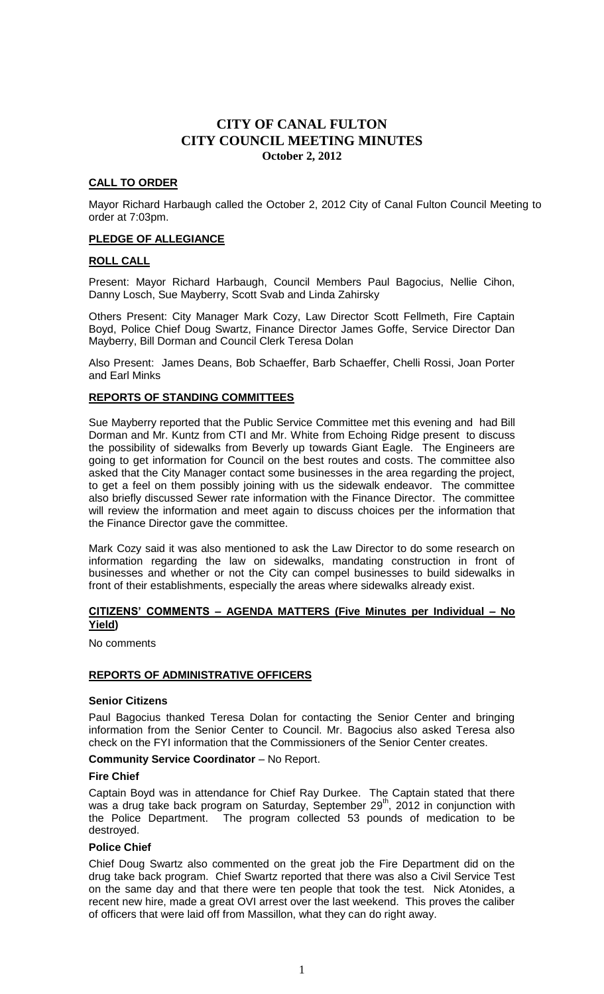# **CALL TO ORDER**

Mayor Richard Harbaugh called the October 2, 2012 City of Canal Fulton Council Meeting to order at 7:03pm.

# **PLEDGE OF ALLEGIANCE**

# **ROLL CALL**

Present: Mayor Richard Harbaugh, Council Members Paul Bagocius, Nellie Cihon, Danny Losch, Sue Mayberry, Scott Svab and Linda Zahirsky

Others Present: City Manager Mark Cozy, Law Director Scott Fellmeth, Fire Captain Boyd, Police Chief Doug Swartz, Finance Director James Goffe, Service Director Dan Mayberry, Bill Dorman and Council Clerk Teresa Dolan

Also Present: James Deans, Bob Schaeffer, Barb Schaeffer, Chelli Rossi, Joan Porter and Earl Minks

# **REPORTS OF STANDING COMMITTEES**

Sue Mayberry reported that the Public Service Committee met this evening and had Bill Dorman and Mr. Kuntz from CTI and Mr. White from Echoing Ridge present to discuss the possibility of sidewalks from Beverly up towards Giant Eagle. The Engineers are going to get information for Council on the best routes and costs. The committee also asked that the City Manager contact some businesses in the area regarding the project, to get a feel on them possibly joining with us the sidewalk endeavor. The committee also briefly discussed Sewer rate information with the Finance Director. The committee will review the information and meet again to discuss choices per the information that the Finance Director gave the committee.

Mark Cozy said it was also mentioned to ask the Law Director to do some research on information regarding the law on sidewalks, mandating construction in front of businesses and whether or not the City can compel businesses to build sidewalks in front of their establishments, especially the areas where sidewalks already exist.

# **CITIZENS' COMMENTS – AGENDA MATTERS (Five Minutes per Individual – No Yield)**

No comments

#### **REPORTS OF ADMINISTRATIVE OFFICERS**

#### **Senior Citizens**

Paul Bagocius thanked Teresa Dolan for contacting the Senior Center and bringing information from the Senior Center to Council. Mr. Bagocius also asked Teresa also check on the FYI information that the Commissioners of the Senior Center creates.

#### **Community Service Coordinator** – No Report.

#### **Fire Chief**

Captain Boyd was in attendance for Chief Ray Durkee. The Captain stated that there was a drug take back program on Saturday, September  $29<sup>th</sup>$ , 2012 in conjunction with the Police Department. The program collected 53 pounds of medication to be destroyed.

#### **Police Chief**

Chief Doug Swartz also commented on the great job the Fire Department did on the drug take back program. Chief Swartz reported that there was also a Civil Service Test on the same day and that there were ten people that took the test. Nick Atonides, a recent new hire, made a great OVI arrest over the last weekend. This proves the caliber of officers that were laid off from Massillon, what they can do right away.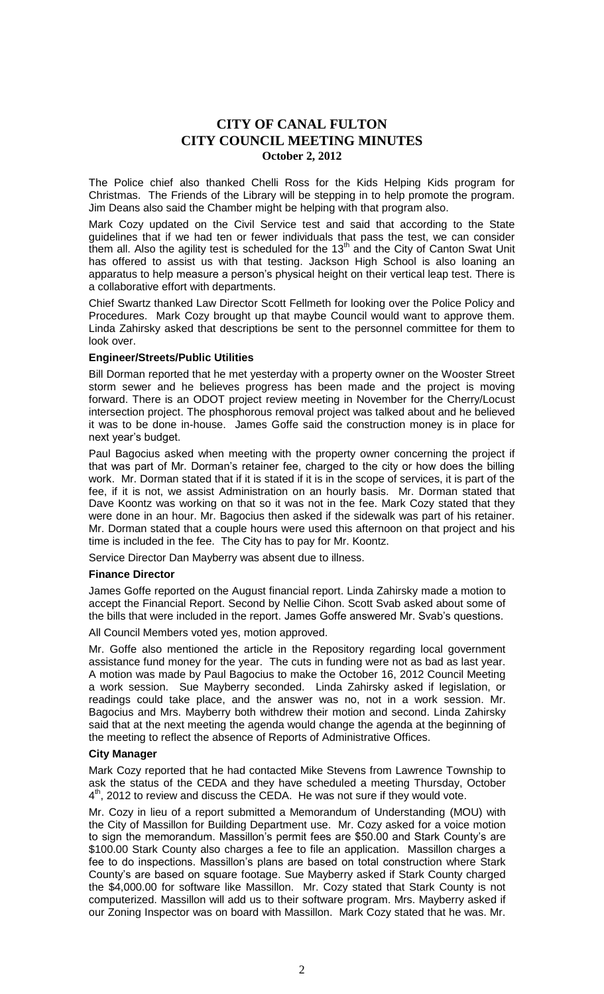The Police chief also thanked Chelli Ross for the Kids Helping Kids program for Christmas. The Friends of the Library will be stepping in to help promote the program. Jim Deans also said the Chamber might be helping with that program also.

Mark Cozy updated on the Civil Service test and said that according to the State guidelines that if we had ten or fewer individuals that pass the test, we can consider them all. Also the agility test is scheduled for the  $13<sup>th</sup>$  and the City of Canton Swat Unit has offered to assist us with that testing. Jackson High School is also loaning an apparatus to help measure a person's physical height on their vertical leap test. There is a collaborative effort with departments.

Chief Swartz thanked Law Director Scott Fellmeth for looking over the Police Policy and Procedures. Mark Cozy brought up that maybe Council would want to approve them. Linda Zahirsky asked that descriptions be sent to the personnel committee for them to look over.

# **Engineer/Streets/Public Utilities**

Bill Dorman reported that he met yesterday with a property owner on the Wooster Street storm sewer and he believes progress has been made and the project is moving forward. There is an ODOT project review meeting in November for the Cherry/Locust intersection project. The phosphorous removal project was talked about and he believed it was to be done in-house. James Goffe said the construction money is in place for next year's budget.

Paul Bagocius asked when meeting with the property owner concerning the project if that was part of Mr. Dorman's retainer fee, charged to the city or how does the billing work. Mr. Dorman stated that if it is stated if it is in the scope of services, it is part of the fee, if it is not, we assist Administration on an hourly basis. Mr. Dorman stated that Dave Koontz was working on that so it was not in the fee. Mark Cozy stated that they were done in an hour. Mr. Bagocius then asked if the sidewalk was part of his retainer. Mr. Dorman stated that a couple hours were used this afternoon on that project and his time is included in the fee. The City has to pay for Mr. Koontz.

Service Director Dan Mayberry was absent due to illness.

# **Finance Director**

James Goffe reported on the August financial report. Linda Zahirsky made a motion to accept the Financial Report. Second by Nellie Cihon. Scott Svab asked about some of the bills that were included in the report. James Goffe answered Mr. Svab's questions.

All Council Members voted yes, motion approved.

Mr. Goffe also mentioned the article in the Repository regarding local government assistance fund money for the year. The cuts in funding were not as bad as last year. A motion was made by Paul Bagocius to make the October 16, 2012 Council Meeting a work session. Sue Mayberry seconded. Linda Zahirsky asked if legislation, or readings could take place, and the answer was no, not in a work session. Mr. Bagocius and Mrs. Mayberry both withdrew their motion and second. Linda Zahirsky said that at the next meeting the agenda would change the agenda at the beginning of the meeting to reflect the absence of Reports of Administrative Offices.

#### **City Manager**

Mark Cozy reported that he had contacted Mike Stevens from Lawrence Township to ask the status of the CEDA and they have scheduled a meeting Thursday, October 4<sup>th</sup>, 2012 to review and discuss the CEDA. He was not sure if they would vote.

Mr. Cozy in lieu of a report submitted a Memorandum of Understanding (MOU) with the City of Massillon for Building Department use. Mr. Cozy asked for a voice motion to sign the memorandum. Massillon's permit fees are \$50.00 and Stark County's are \$100.00 Stark County also charges a fee to file an application. Massillon charges a fee to do inspections. Massillon's plans are based on total construction where Stark County's are based on square footage. Sue Mayberry asked if Stark County charged the \$4,000.00 for software like Massillon. Mr. Cozy stated that Stark County is not computerized. Massillon will add us to their software program. Mrs. Mayberry asked if our Zoning Inspector was on board with Massillon. Mark Cozy stated that he was. Mr.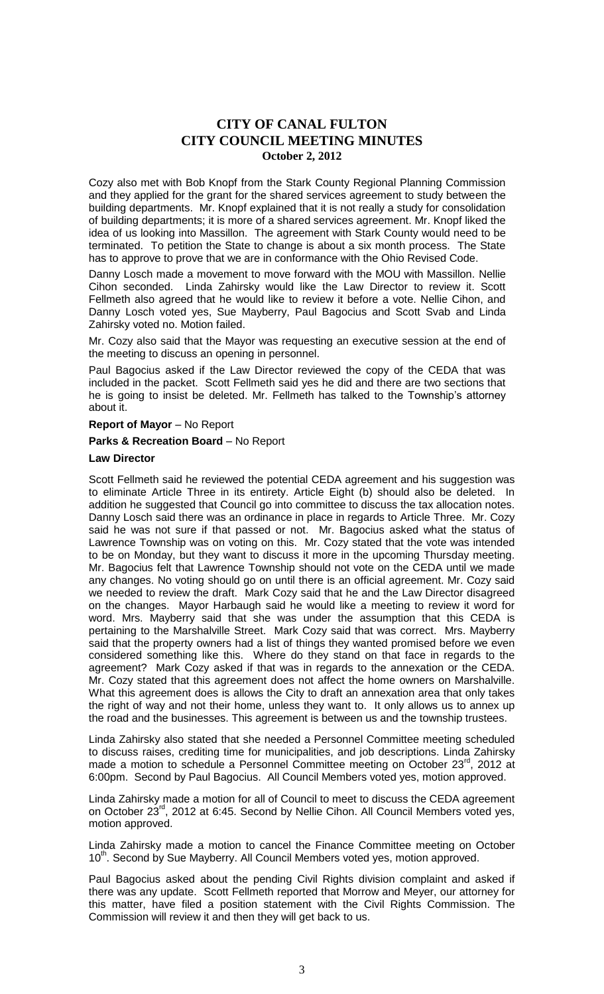Cozy also met with Bob Knopf from the Stark County Regional Planning Commission and they applied for the grant for the shared services agreement to study between the building departments. Mr. Knopf explained that it is not really a study for consolidation of building departments; it is more of a shared services agreement. Mr. Knopf liked the idea of us looking into Massillon. The agreement with Stark County would need to be terminated. To petition the State to change is about a six month process. The State has to approve to prove that we are in conformance with the Ohio Revised Code.

Danny Losch made a movement to move forward with the MOU with Massillon. Nellie Cihon seconded. Linda Zahirsky would like the Law Director to review it. Scott Fellmeth also agreed that he would like to review it before a vote. Nellie Cihon, and Danny Losch voted yes, Sue Mayberry, Paul Bagocius and Scott Svab and Linda Zahirsky voted no. Motion failed.

Mr. Cozy also said that the Mayor was requesting an executive session at the end of the meeting to discuss an opening in personnel.

Paul Bagocius asked if the Law Director reviewed the copy of the CEDA that was included in the packet. Scott Fellmeth said yes he did and there are two sections that he is going to insist be deleted. Mr. Fellmeth has talked to the Township's attorney about it.

### **Report of Mayor** – No Report

# **Parks & Recreation Board** – No Report

# **Law Director**

Scott Fellmeth said he reviewed the potential CEDA agreement and his suggestion was to eliminate Article Three in its entirety. Article Eight (b) should also be deleted. In addition he suggested that Council go into committee to discuss the tax allocation notes. Danny Losch said there was an ordinance in place in regards to Article Three. Mr. Cozy said he was not sure if that passed or not. Mr. Bagocius asked what the status of Lawrence Township was on voting on this. Mr. Cozy stated that the vote was intended to be on Monday, but they want to discuss it more in the upcoming Thursday meeting. Mr. Bagocius felt that Lawrence Township should not vote on the CEDA until we made any changes. No voting should go on until there is an official agreement. Mr. Cozy said we needed to review the draft. Mark Cozy said that he and the Law Director disagreed on the changes. Mayor Harbaugh said he would like a meeting to review it word for word. Mrs. Mayberry said that she was under the assumption that this CEDA is pertaining to the Marshalville Street. Mark Cozy said that was correct. Mrs. Mayberry said that the property owners had a list of things they wanted promised before we even considered something like this. Where do they stand on that face in regards to the agreement? Mark Cozy asked if that was in regards to the annexation or the CEDA. Mr. Cozy stated that this agreement does not affect the home owners on Marshalville. What this agreement does is allows the City to draft an annexation area that only takes the right of way and not their home, unless they want to. It only allows us to annex up the road and the businesses. This agreement is between us and the township trustees.

Linda Zahirsky also stated that she needed a Personnel Committee meeting scheduled to discuss raises, crediting time for municipalities, and job descriptions. Linda Zahirsky made a motion to schedule a Personnel Committee meeting on October  $23^{\text{rd}}$ , 2012 at 6:00pm. Second by Paul Bagocius. All Council Members voted yes, motion approved.

Linda Zahirsky made a motion for all of Council to meet to discuss the CEDA agreement on October 23<sup>rd</sup>, 2012 at 6:45. Second by Nellie Cihon. All Council Members voted yes, motion approved.

Linda Zahirsky made a motion to cancel the Finance Committee meeting on October 10<sup>th</sup>. Second by Sue Mayberry. All Council Members voted yes, motion approved.

Paul Bagocius asked about the pending Civil Rights division complaint and asked if there was any update. Scott Fellmeth reported that Morrow and Meyer, our attorney for this matter, have filed a position statement with the Civil Rights Commission. The Commission will review it and then they will get back to us.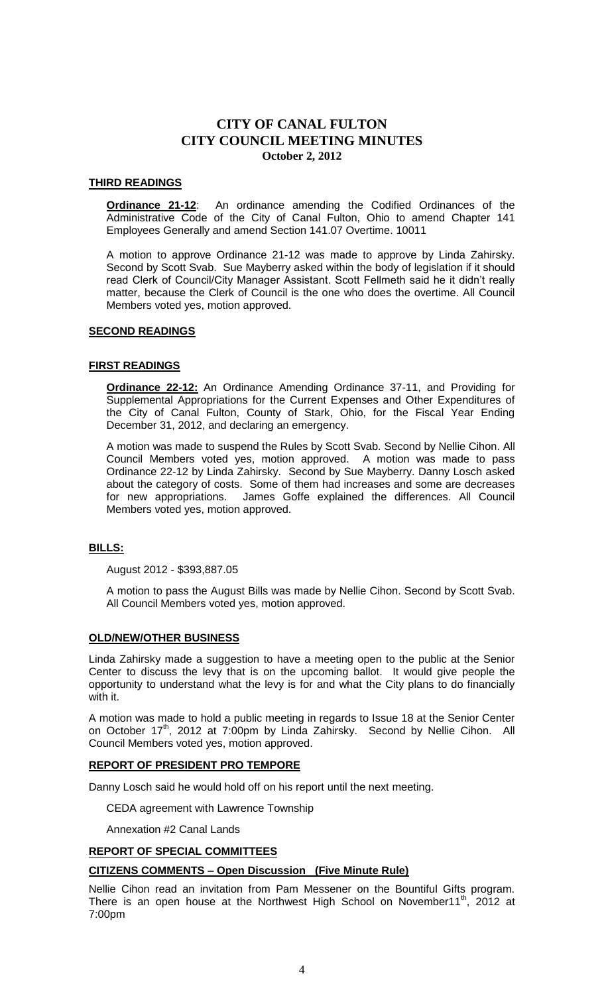# **THIRD READINGS**

**Ordinance 21-12**: An ordinance amending the Codified Ordinances of the Administrative Code of the City of Canal Fulton, Ohio to amend Chapter 141 Employees Generally and amend Section 141.07 Overtime. 10011

A motion to approve Ordinance 21-12 was made to approve by Linda Zahirsky. Second by Scott Svab. Sue Mayberry asked within the body of legislation if it should read Clerk of Council/City Manager Assistant. Scott Fellmeth said he it didn't really matter, because the Clerk of Council is the one who does the overtime. All Council Members voted yes, motion approved.

#### **SECOND READINGS**

# **FIRST READINGS**

**Ordinance 22-12:** An Ordinance Amending Ordinance 37-11, and Providing for Supplemental Appropriations for the Current Expenses and Other Expenditures of the City of Canal Fulton, County of Stark, Ohio, for the Fiscal Year Ending December 31, 2012, and declaring an emergency.

A motion was made to suspend the Rules by Scott Svab. Second by Nellie Cihon. All Council Members voted yes, motion approved. A motion was made to pass Ordinance 22-12 by Linda Zahirsky. Second by Sue Mayberry. Danny Losch asked about the category of costs. Some of them had increases and some are decreases for new appropriations. James Goffe explained the differences. All Council Members voted yes, motion approved.

# **BILLS:**

August 2012 - \$393,887.05

A motion to pass the August Bills was made by Nellie Cihon. Second by Scott Svab. All Council Members voted yes, motion approved.

# **OLD/NEW/OTHER BUSINESS**

Linda Zahirsky made a suggestion to have a meeting open to the public at the Senior Center to discuss the levy that is on the upcoming ballot. It would give people the opportunity to understand what the levy is for and what the City plans to do financially with it.

A motion was made to hold a public meeting in regards to Issue 18 at the Senior Center on October 17<sup>th</sup>, 2012 at 7:00pm by Linda Zahirsky. Second by Nellie Cihon. All Council Members voted yes, motion approved.

#### **REPORT OF PRESIDENT PRO TEMPORE**

Danny Losch said he would hold off on his report until the next meeting.

CEDA agreement with Lawrence Township

Annexation #2 Canal Lands

# **REPORT OF SPECIAL COMMITTEES**

#### **CITIZENS COMMENTS – Open Discussion (Five Minute Rule)**

Nellie Cihon read an invitation from Pam Messener on the Bountiful Gifts program. There is an open house at the Northwest High School on November11<sup>th</sup>, 2012 at 7:00pm